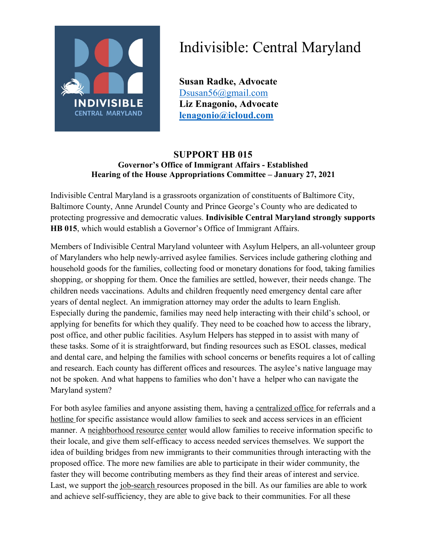

## Indivisible: Central Maryland

**Susan Radke, Advocate** Dsusan56@gmail.com **Liz Enagonio, Advocate lenagonio@icloud.com**

## **SUPPORT HB 015 Governor's Office of Immigrant Affairs - Established Hearing of the House Appropriations Committee – January 27, 2021**

Indivisible Central Maryland is a grassroots organization of constituents of Baltimore City, Baltimore County, Anne Arundel County and Prince George's County who are dedicated to protecting progressive and democratic values. **Indivisible Central Maryland strongly supports HB 015**, which would establish a Governor's Office of Immigrant Affairs.

Members of Indivisible Central Maryland volunteer with Asylum Helpers, an all-volunteer group of Marylanders who help newly-arrived asylee families. Services include gathering clothing and household goods for the families, collecting food or monetary donations for food, taking families shopping, or shopping for them. Once the families are settled, however, their needs change. The children needs vaccinations. Adults and children frequently need emergency dental care after years of dental neglect. An immigration attorney may order the adults to learn English. Especially during the pandemic, families may need help interacting with their child's school, or applying for benefits for which they qualify. They need to be coached how to access the library, post office, and other public facilities. Asylum Helpers has stepped in to assist with many of these tasks. Some of it is straightforward, but finding resources such as ESOL classes, medical and dental care, and helping the families with school concerns or benefits requires a lot of calling and research. Each county has different offices and resources. The asylee's native language may not be spoken. And what happens to families who don't have a helper who can navigate the Maryland system?

For both asylee families and anyone assisting them, having a centralized office for referrals and a hotline for specific assistance would allow families to seek and access services in an efficient manner. A neighborhood resource center would allow families to receive information specific to their locale, and give them self-efficacy to access needed services themselves. We support the idea of building bridges from new immigrants to their communities through interacting with the proposed office. The more new families are able to participate in their wider community, the faster they will become contributing members as they find their areas of interest and service. Last, we support the job-search resources proposed in the bill. As our families are able to work and achieve self-sufficiency, they are able to give back to their communities. For all these